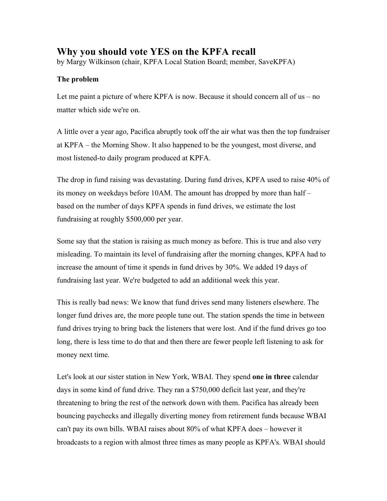## **Why you should vote YES on the KPFA recall**

by Margy Wilkinson (chair, KPFA Local Station Board; member, SaveKPFA)

## **The problem**

Let me paint a picture of where KPFA is now. Because it should concern all of us – no matter which side we're on.

A little over a year ago, Pacifica abruptly took off the air what was then the top fundraiser at KPFA – the Morning Show. It also happened to be the youngest, most diverse, and most listened-to daily program produced at KPFA.

The drop in fund raising was devastating. During fund drives, KPFA used to raise 40% of its money on weekdays before 10AM. The amount has dropped by more than half – based on the number of days KPFA spends in fund drives, we estimate the lost fundraising at roughly \$500,000 per year.

Some say that the station is raising as much money as before. This is true and also very misleading. To maintain its level of fundraising after the morning changes, KPFA had to increase the amount of time it spends in fund drives by 30%. We added 19 days of fundraising last year. We're budgeted to add an additional week this year.

This is really bad news: We know that fund drives send many listeners elsewhere. The longer fund drives are, the more people tune out. The station spends the time in between fund drives trying to bring back the listeners that were lost. And if the fund drives go too long, there is less time to do that and then there are fewer people left listening to ask for money next time.

Let's look at our sister station in New York, WBAI. They spend **one in three** calendar days in some kind of fund drive. They ran a \$750,000 deficit last year, and they're threatening to bring the rest of the network down with them. Pacifica has already been bouncing paychecks and illegally diverting money from retirement funds because WBAI can't pay its own bills. WBAI raises about 80% of what KPFA does – however it broadcasts to a region with almost three times as many people as KPFA's. WBAI should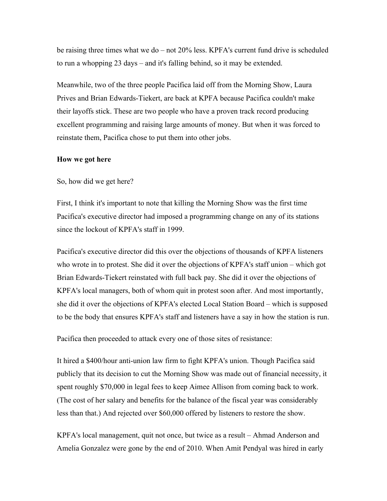be raising three times what we do – not 20% less. KPFA's current fund drive is scheduled to run a whopping 23 days – and it's falling behind, so it may be extended.

Meanwhile, two of the three people Pacifica laid off from the Morning Show, Laura Prives and Brian Edwards-Tiekert, are back at KPFA because Pacifica couldn't make their layoffs stick. These are two people who have a proven track record producing excellent programming and raising large amounts of money. But when it was forced to reinstate them, Pacifica chose to put them into other jobs.

## **How we got here**

So, how did we get here?

First, I think it's important to note that killing the Morning Show was the first time Pacifica's executive director had imposed a programming change on any of its stations since the lockout of KPFA's staff in 1999.

Pacifica's executive director did this over the objections of thousands of KPFA listeners who wrote in to protest. She did it over the objections of KPFA's staff union – which got Brian Edwards-Tiekert reinstated with full back pay. She did it over the objections of KPFA's local managers, both of whom quit in protest soon after. And most importantly, she did it over the objections of KPFA's elected Local Station Board – which is supposed to be the body that ensures KPFA's staff and listeners have a say in how the station is run.

Pacifica then proceeded to attack every one of those sites of resistance:

It hired a \$400/hour anti-union law firm to fight KPFA's union. Though Pacifica said publicly that its decision to cut the Morning Show was made out of financial necessity, it spent roughly \$70,000 in legal fees to keep Aimee Allison from coming back to work. (The cost of her salary and benefits for the balance of the fiscal year was considerably less than that.) And rejected over \$60,000 offered by listeners to restore the show.

KPFA's local management, quit not once, but twice as a result – Ahmad Anderson and Amelia Gonzalez were gone by the end of 2010. When Amit Pendyal was hired in early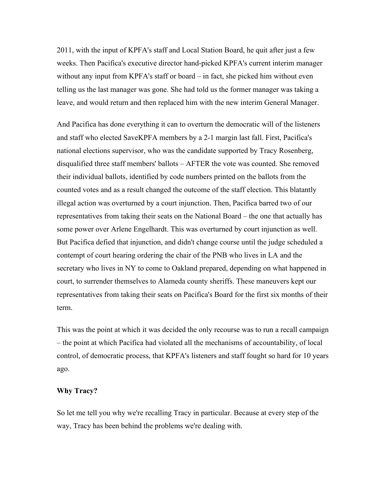2011, with the input of KPFA's staff and Local Station Board, he quit after just a few weeks. Then Pacifica's executive director hand-picked KPFA's current interim manager without any input from KPFA's staff or board – in fact, she picked him without even telling us the last manager was gone. She had told us the former manager was taking a leave, and would return and then replaced him with the new interim General Manager.

And Pacifica has done everything it can to overturn the democratic will of the listeners and staff who elected SaveKPFA members by a 2-1 margin last fall. First, Pacifica's national elections supervisor, who was the candidate supported by Tracy Rosenberg, disqualified three staff members' ballots – AFTER the vote was counted. She removed their individual ballots, identified by code numbers printed on the ballots from the counted votes and as a result changed the outcome of the staff election. This blatantly illegal action was overturned by a court injunction. Then, Pacifica barred two of our representatives from taking their seats on the National Board – the one that actually has some power over Arlene Engelhardt. This was overturned by court injunction as well. But Pacifica defied that injunction, and didn't change course until the judge scheduled a contempt of court hearing ordering the chair of the PNB who lives in LA and the secretary who lives in NY to come to Oakland prepared, depending on what happened in court, to surrender themselves to Alameda county sheriffs. These maneuvers kept our representatives from taking their seats on Pacifica's Board for the first six months of their term.

This was the point at which it was decided the only recourse was to run a recall campaign – the point at which Pacifica had violated all the mechanisms of accountability, of local control, of democratic process, that KPFA's listeners and staff fought so hard for 10 years ago.

## **Why Tracy?**

So let me tell you why we're recalling Tracy in particular. Because at every step of the way, Tracy has been behind the problems we're dealing with.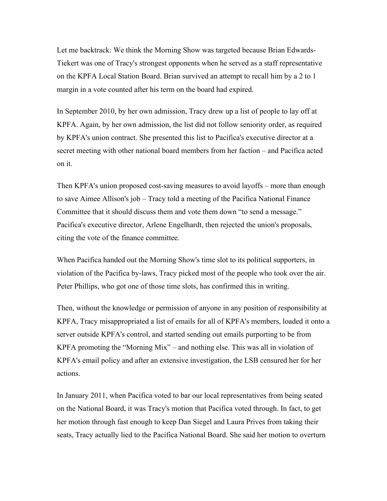Let me backtrack: We think the Morning Show was targeted because Brian Edwards-Tiekert was one of Tracy's strongest opponents when he served as a staff representative on the KPFA Local Station Board. Brian survived an attempt to recall him by a 2 to 1 margin in a vote counted after his term on the board had expired.

In September 2010, by her own admission, Tracy drew up a list of people to lay off at KPFA. Again, by her own admission, the list did not follow seniority order, as required by KPFA's union contract. She presented this list to Pacifica's executive director at a secret meeting with other national board members from her faction – and Pacifica acted on it.

Then KPFA's union proposed cost-saving measures to avoid layoffs – more than enough to save Aimee Allison's job – Tracy told a meeting of the Pacifica National Finance Committee that it should discuss them and vote them down "to send a message." Pacifica's executive director, Arlene Engelhardt, then rejected the union's proposals, citing the vote of the finance committee.

When Pacifica handed out the Morning Show's time slot to its political supporters, in violation of the Pacifica by-laws, Tracy picked most of the people who took over the air. Peter Phillips, who got one of those time slots, has confirmed this in writing.

Then, without the knowledge or permission of anyone in any position of responsibility at KPFA, Tracy misappropriated a list of emails for all of KPFA's members, loaded it onto a server outside KPFA's control, and started sending out emails purporting to be from KPFA promoting the "Morning Mix" – and nothing else. This was all in violation of KPFA's email policy and after an extensive investigation, the LSB censured her for her actions.

In January 2011, when Pacifica voted to bar our local representatives from being seated on the National Board, it was Tracy's motion that Pacifica voted through. In fact, to get her motion through fast enough to keep Dan Siegel and Laura Prives from taking their seats, Tracy actually lied to the Pacifica National Board. She said her motion to overturn